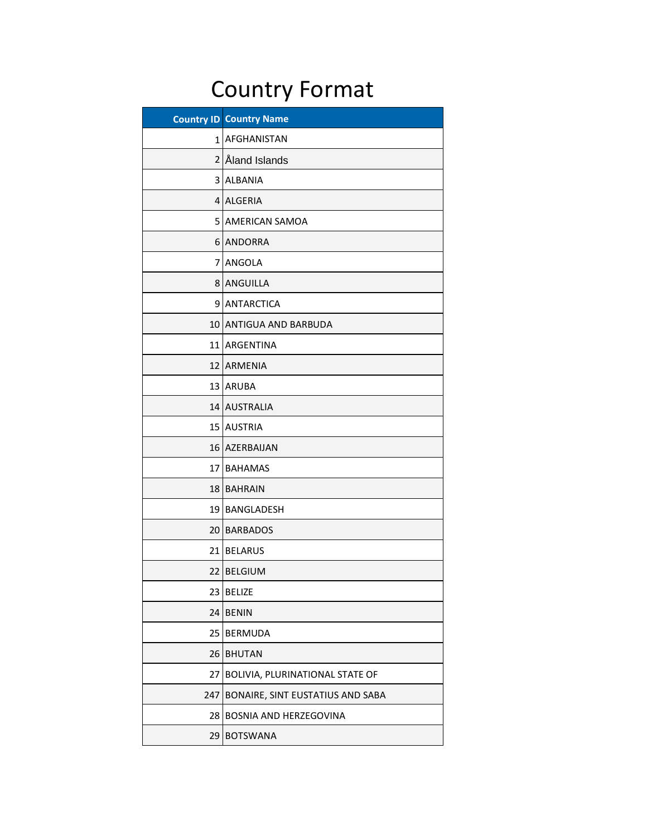## Country Format

| <b>Country ID</b> | <b>Country Name</b>              |
|-------------------|----------------------------------|
| 1                 | AFGHANISTAN                      |
| $\overline{2}$    | Åland Islands                    |
| 3                 | <b>ALBANIA</b>                   |
| 4                 | <b>ALGERIA</b>                   |
| 5                 | <b>AMERICAN SAMOA</b>            |
| 6                 | <b>ANDORRA</b>                   |
| 7                 | ANGOLA                           |
| 8                 | ANGUILLA                         |
| 9                 | <b>ANTARCTICA</b>                |
| 10                | <b>ANTIGUA AND BARBUDA</b>       |
| 11                | ARGENTINA                        |
| 12                | <b>ARMENIA</b>                   |
| 13                | <b>ARUBA</b>                     |
| 14                | <b>AUSTRALIA</b>                 |
| 15                | <b>AUSTRIA</b>                   |
| 16                | AZERBAIJAN                       |
| 17                | <b>BAHAMAS</b>                   |
| 18                | <b>BAHRAIN</b>                   |
| 19                | BANGLADESH                       |
| 20                | <b>BARBADOS</b>                  |
| 21                | <b>BELARUS</b>                   |
| 22                | <b>BELGIUM</b>                   |
| 23                | <b>BELIZE</b>                    |
| 24                | <b>BENIN</b>                     |
| 25                | <b>BERMUDA</b>                   |
| 26                | <b>BHUTAN</b>                    |
| 27                | BOLIVIA, PLURINATIONAL STATE OF  |
| 247               | BONAIRE, SINT EUSTATIUS AND SABA |
| 28                | BOSNIA AND HERZEGOVINA           |
| 29                | <b>BOTSWANA</b>                  |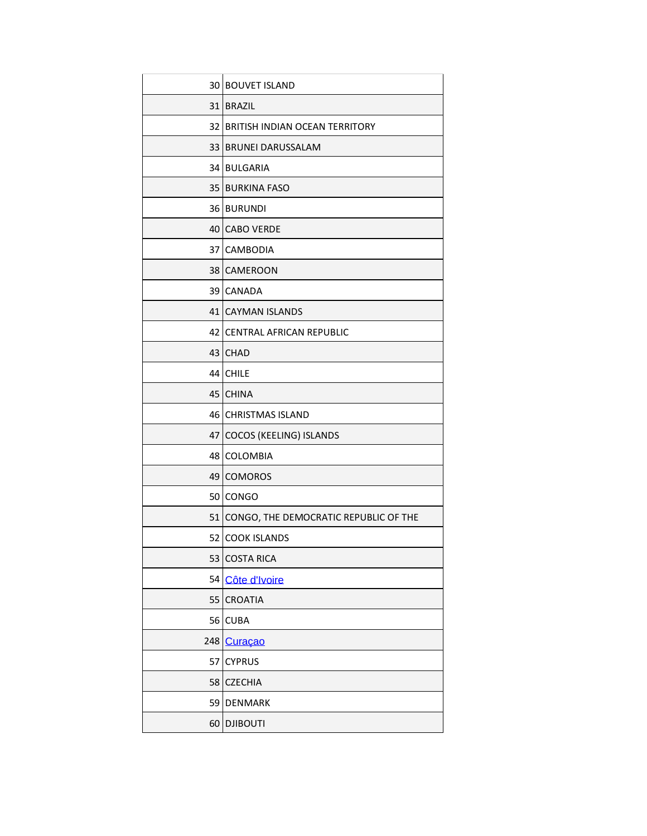| 30 <sup>°</sup> | <b>BOUVET ISLAND</b>                     |
|-----------------|------------------------------------------|
| 31 <sup>1</sup> | <b>BRAZIL</b>                            |
|                 | 32 BRITISH INDIAN OCEAN TERRITORY        |
| 33 <sup>1</sup> | <b>BRUNEI DARUSSALAM</b>                 |
|                 | 34 BULGARIA                              |
|                 | <b>35 BURKINA FASO</b>                   |
|                 | 36 BURUNDI                               |
|                 | 40 CABO VERDE                            |
| 37              | <b>CAMBODIA</b>                          |
|                 | 38 CAMEROON                              |
|                 | 39 CANADA                                |
|                 | 41 CAYMAN ISLANDS                        |
| 42              | <b>CENTRAL AFRICAN REPUBLIC</b>          |
|                 | 43 CHAD                                  |
|                 | 44 CHILE                                 |
| 45              | <b>CHINA</b>                             |
|                 | 46 CHRISTMAS ISLAND                      |
| 47              | COCOS (KEELING) ISLANDS                  |
|                 | 48 COLOMBIA                              |
| 49              | <b>COMOROS</b>                           |
| 50              | <b>CONGO</b>                             |
|                 | 51 CONGO, THE DEMOCRATIC REPUBLIC OF THE |
| 52              | <b>COOK ISLANDS</b>                      |
| 53              | <b>COSTA RICA</b>                        |
| 54              | Côte d'Ivoire                            |
| 55              | <b>CROATIA</b>                           |
| 56              | <b>CUBA</b>                              |
| 248             | Curaçao                                  |
| 57              | <b>CYPRUS</b>                            |
| 58              | <b>CZECHIA</b>                           |
| 59              | <b>DENMARK</b>                           |
| 60              | <b>DJIBOUTI</b>                          |
|                 |                                          |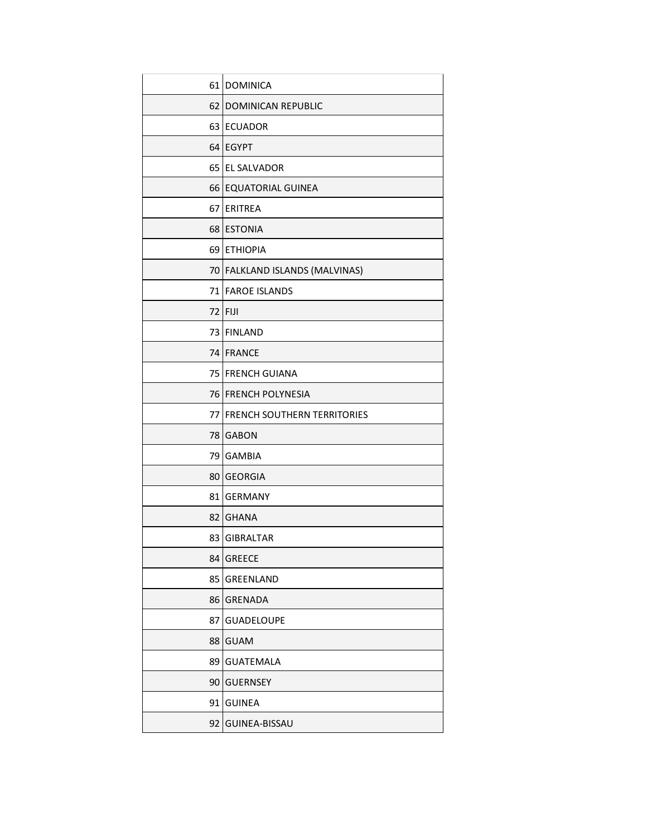|      | 61 DOMINICA                        |
|------|------------------------------------|
| 62   | <b>DOMINICAN REPUBLIC</b>          |
|      | 63 ECUADOR                         |
|      | 64 EGYPT                           |
| 65   | <b>EL SALVADOR</b>                 |
|      | 66 EQUATORIAL GUINEA               |
| 67   | ERITREA                            |
|      | 68 ESTONIA                         |
| 69   | <b>ETHIOPIA</b>                    |
|      | 70 FALKLAND ISLANDS (MALVINAS)     |
|      | 71 FAROE ISLANDS                   |
| 72 I | <b>FIJI</b>                        |
|      | 73 FINLAND                         |
|      | 74 FRANCE                          |
|      | 75 FRENCH GUIANA                   |
|      | 76 FRENCH POLYNESIA                |
| 77   | <b>FRENCH SOUTHERN TERRITORIES</b> |
| 78 I | <b>GABON</b>                       |
| 79   | <b>GAMBIA</b>                      |
|      | 80 GEORGIA                         |
| 81   | <b>GERMANY</b>                     |
|      | 82 GHANA                           |
| 83   | <b>GIBRALTAR</b>                   |
| 84   | <b>GREECE</b>                      |
| 85   | GREENLAND                          |
| 86   | <b>GRENADA</b>                     |
| 87   | <b>GUADELOUPE</b>                  |
| 88   | <b>GUAM</b>                        |
| 89   | <b>GUATEMALA</b>                   |
| 90   | <b>GUERNSEY</b>                    |
| 91   | <b>GUINEA</b>                      |
|      |                                    |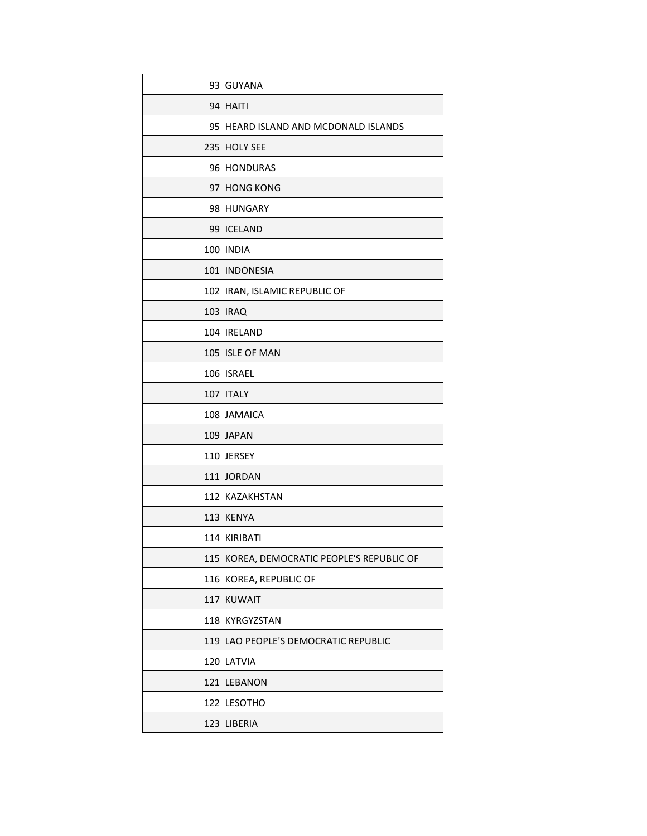|     | 93 GUYANA                              |
|-----|----------------------------------------|
|     | 94 HAITI                               |
|     | 95 HEARD ISLAND AND MCDONALD ISLANDS   |
| 235 | <b>HOLY SEE</b>                        |
|     | 96 HONDURAS                            |
| 97  | <b>HONG KONG</b>                       |
| 98  | <b>HUNGARY</b>                         |
| 99  | <b>ICELAND</b>                         |
|     | 100 INDIA                              |
|     | 101   INDONESIA                        |
|     | 102 IRAN, ISLAMIC REPUBLIC OF          |
|     | 103 IRAQ                               |
|     | 104   IRELAND                          |
|     | 105 ISLE OF MAN                        |
|     | 106 ISRAEL                             |
|     | 107   ITALY                            |
|     | 108 JAMAICA                            |
|     | 109 JAPAN                              |
|     | 110 JERSEY                             |
|     | 111 JORDAN                             |
|     | 112 KAZAKHSTAN                         |
|     | 113 KENYA                              |
|     | 114 KIRIBATI                           |
| 115 | KOREA, DEMOCRATIC PEOPLE'S REPUBLIC OF |
| 116 | KOREA, REPUBLIC OF                     |
| 117 | <b>KUWAIT</b>                          |
| 118 | KYRGYZSTAN                             |
| 119 | LAO PEOPLE'S DEMOCRATIC REPUBLIC       |
|     | 120 LATVIA                             |
| 121 | <b>LEBANON</b>                         |
| 122 | <b>LESOTHO</b>                         |
| 123 | <b>LIBERIA</b>                         |
|     |                                        |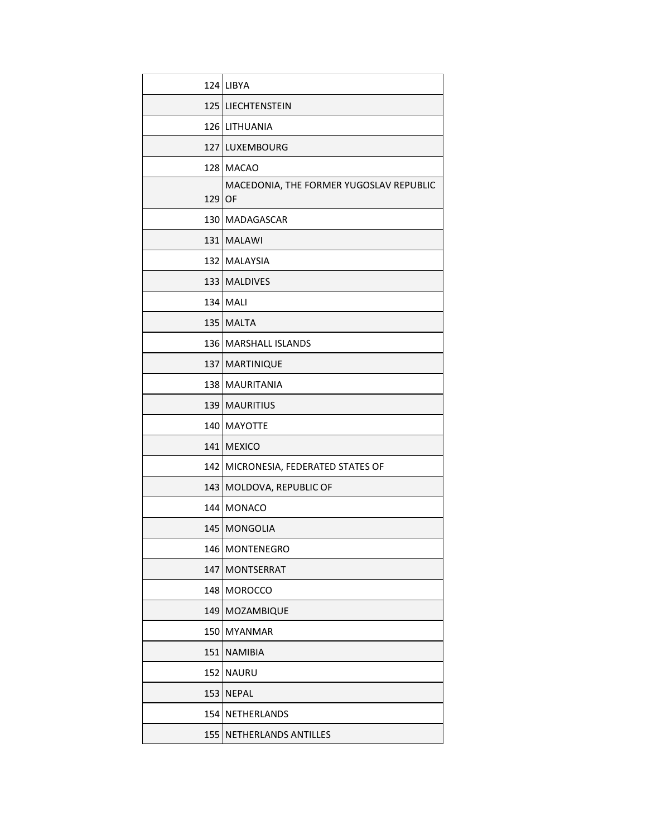|     | 124 LIBYA                                     |
|-----|-----------------------------------------------|
|     | 125 LIECHTENSTEIN                             |
|     | 126 LITHUANIA                                 |
| 127 | LUXEMBOURG                                    |
| 128 | <b>MACAO</b>                                  |
| 129 | MACEDONIA, THE FORMER YUGOSLAV REPUBLIC<br>OF |
| 130 | <b>MADAGASCAR</b>                             |
|     | 131 MALAWI                                    |
| 132 | <b>MALAYSIA</b>                               |
| 133 | <b>MALDIVES</b>                               |
|     | 134 MALI                                      |
| 135 | <b>MALTA</b>                                  |
|     | 136 MARSHALL ISLANDS                          |
| 137 | <b>MARTINIQUE</b>                             |
| 138 | <b>MAURITANIA</b>                             |
|     | 139   MAURITIUS                               |
| 140 | <b>MAYOTTE</b>                                |
| 141 | <b>MEXICO</b>                                 |
| 142 | MICRONESIA, FEDERATED STATES OF               |
| 143 | MOLDOVA, REPUBLIC OF                          |
| 144 | <b>MONACO</b>                                 |
| 145 | <b>MONGOLIA</b>                               |
|     | 146   MONTENEGRO                              |
| 147 | <b>MONTSERRAT</b>                             |
| 148 | <b>MOROCCO</b>                                |
| 149 | MOZAMBIQUE                                    |
| 150 | <b>MYANMAR</b>                                |
| 151 | <b>NAMIBIA</b>                                |
| 152 | <b>NAURU</b>                                  |
| 153 | <b>NEPAL</b>                                  |
| 154 | <b>NETHERLANDS</b>                            |
| 155 | NETHERLANDS ANTILLES                          |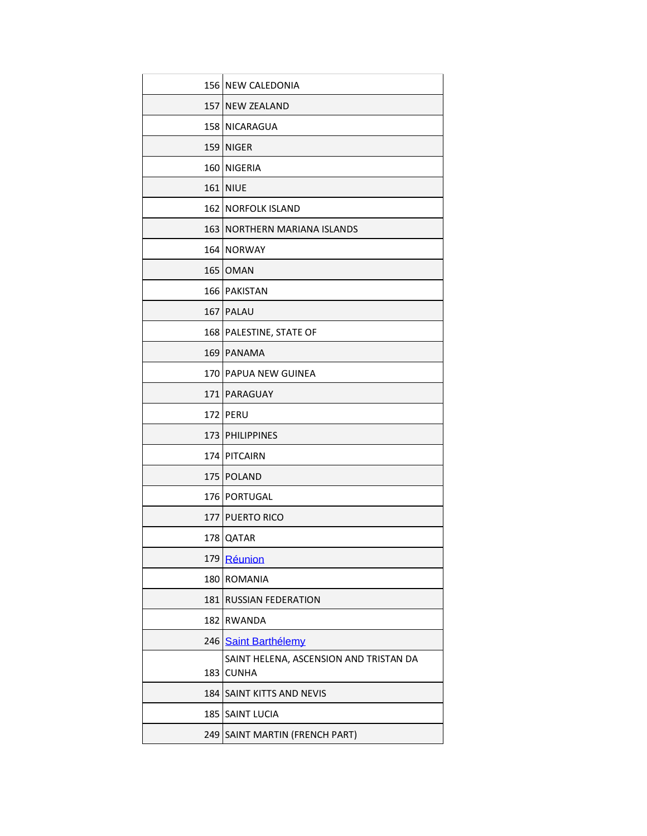|       | 156 NEW CALEDONIA                      |
|-------|----------------------------------------|
|       | 157 NEW ZEALAND                        |
|       | 158 NICARAGUA                          |
| 159   | <b>NIGER</b>                           |
| 160   | NIGERIA                                |
|       | <b>161 NIUE</b>                        |
|       | <b>162 NORFOLK ISLAND</b>              |
|       | 163   NORTHERN MARIANA ISLANDS         |
|       | 164 NORWAY                             |
|       | 165   OMAN                             |
|       | 166 PAKISTAN                           |
|       | 167 PALAU                              |
|       | 168   PALESTINE, STATE OF              |
|       | 169 PANAMA                             |
|       | 170 PAPUA NEW GUINEA                   |
|       | 171   PARAGUAY                         |
|       | 172 PERU                               |
|       | 173 PHILIPPINES                        |
|       | 174 PITCAIRN                           |
|       | 175 POLAND                             |
|       | 176 PORTUGAL                           |
|       | 177 PUERTO RICO                        |
| 178 l | <b>QATAR</b>                           |
| 179   | Réunion                                |
| 180   | <b>ROMANIA</b>                         |
| 181   | <b>RUSSIAN FEDERATION</b>              |
| 182   | <b>RWANDA</b>                          |
|       | 246 Saint Barthélemy                   |
|       | SAINT HELENA, ASCENSION AND TRISTAN DA |
| 183   | <b>CUNHA</b>                           |
| 184   | <b>SAINT KITTS AND NEVIS</b>           |
|       | 185 SAINT LUCIA                        |
| 249   | SAINT MARTIN (FRENCH PART)             |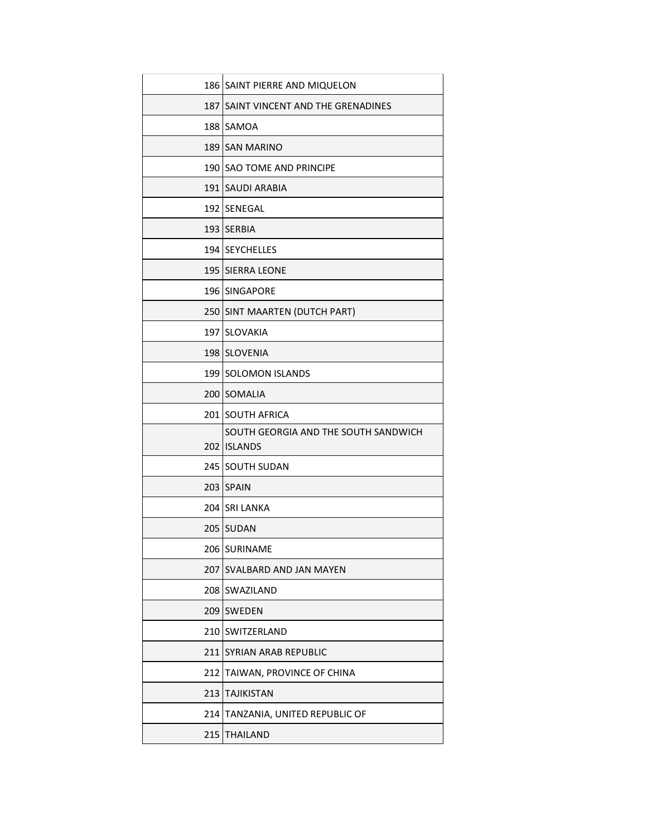|     | 186 SAINT PIERRE AND MIQUELON         |
|-----|---------------------------------------|
|     | 187 ISAINT VINCENT AND THE GRENADINES |
|     | 188 SAMOA                             |
|     | 189 SAN MARINO                        |
|     | 190 SAO TOME AND PRINCIPE             |
|     | 191 SAUDI ARABIA                      |
|     | 192 SENEGAL                           |
|     | 193 SERBIA                            |
|     | 194 SEYCHELLES                        |
|     | <b>195 SIERRA LEONE</b>               |
|     | 196 SINGAPORE                         |
|     | 250 SINT MAARTEN (DUTCH PART)         |
|     | 197 SLOVAKIA                          |
|     | 198 SLOVENIA                          |
|     | 199 SOLOMON ISLANDS                   |
|     | 200 SOMALIA                           |
|     | 201 SOUTH AFRICA                      |
|     | SOUTH GEORGIA AND THE SOUTH SANDWICH  |
|     | 202 ISLANDS                           |
|     | 245 SOUTH SUDAN                       |
|     | 203 SPAIN                             |
|     | 204 SRI LANKA                         |
|     | 205 SUDAN                             |
|     | 206 SURINAME                          |
| 207 | SVALBARD AND JAN MAYEN                |
| 208 | SWAZILAND                             |
| 209 | <b>SWEDEN</b>                         |
|     | 210 SWITZERLAND                       |
| 211 | SYRIAN ARAB REPUBLIC                  |
| 212 | TAIWAN, PROVINCE OF CHINA             |
| 213 | <b>TAJIKISTAN</b>                     |
| 214 | TANZANIA, UNITED REPUBLIC OF          |
| 215 | <b>THAILAND</b>                       |